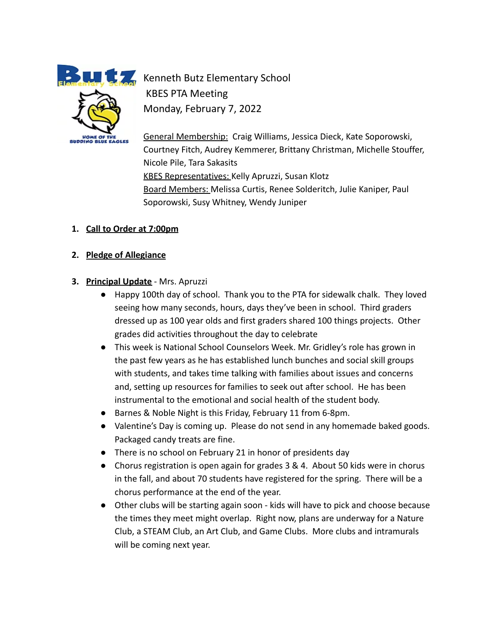**HOME OF THE BUDDING BLUE EAGLES** 

**Kenneth Butz Elementary School** KBES PTA Meeting Monday, February 7, 2022

> General Membership: Craig Williams, Jessica Dieck, Kate Soporowski, Courtney Fitch, Audrey Kemmerer, Brittany Christman, Michelle Stouffer, Nicole Pile, Tara Sakasits KBES Representatives: Kelly Apruzzi, Susan Klotz Board Members: Melissa Curtis, Renee Solderitch, Julie Kaniper, Paul Soporowski, Susy Whitney, Wendy Juniper

### **1. Call to Order at 7:00pm**

#### **2. Pledge of Allegiance**

- **3. Principal Update** Mrs. Apruzzi
	- Happy 100th day of school. Thank you to the PTA for sidewalk chalk. They loved seeing how many seconds, hours, days they've been in school. Third graders dressed up as 100 year olds and first graders shared 100 things projects. Other grades did activities throughout the day to celebrate
	- This week is National School Counselors Week. Mr. Gridley's role has grown in the past few years as he has established lunch bunches and social skill groups with students, and takes time talking with families about issues and concerns and, setting up resources for families to seek out after school. He has been instrumental to the emotional and social health of the student body.
	- Barnes & Noble Night is this Friday, February 11 from 6-8pm.
	- Valentine's Day is coming up. Please do not send in any homemade baked goods. Packaged candy treats are fine.
	- There is no school on February 21 in honor of presidents day
	- Chorus registration is open again for grades 3 & 4. About 50 kids were in chorus in the fall, and about 70 students have registered for the spring. There will be a chorus performance at the end of the year.
	- Other clubs will be starting again soon kids will have to pick and choose because the times they meet might overlap. Right now, plans are underway for a Nature Club, a STEAM Club, an Art Club, and Game Clubs. More clubs and intramurals will be coming next year.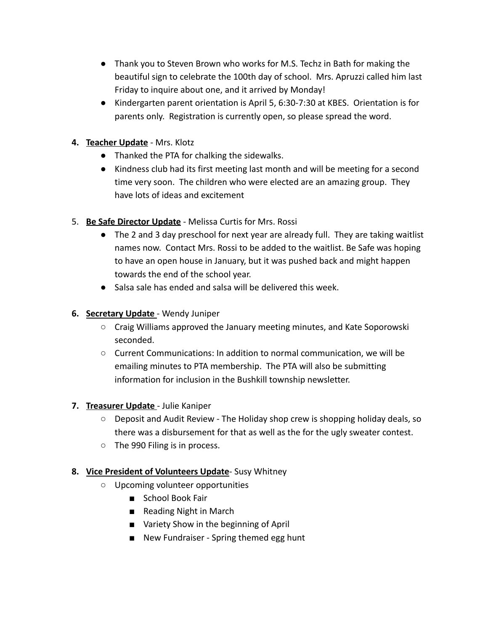- Thank you to Steven Brown who works for M.S. Techz in Bath for making the beautiful sign to celebrate the 100th day of school. Mrs. Apruzzi called him last Friday to inquire about one, and it arrived by Monday!
- Kindergarten parent orientation is April 5, 6:30-7:30 at KBES. Orientation is for parents only. Registration is currently open, so please spread the word.
- **4. Teacher Update** Mrs. Klotz
	- Thanked the PTA for chalking the sidewalks.
	- Kindness club had its first meeting last month and will be meeting for a second time very soon. The children who were elected are an amazing group. They have lots of ideas and excitement
- 5. **Be Safe Director Update** Melissa Curtis for Mrs. Rossi
	- The 2 and 3 day preschool for next year are already full. They are taking waitlist names now. Contact Mrs. Rossi to be added to the waitlist. Be Safe was hoping to have an open house in January, but it was pushed back and might happen towards the end of the school year.
	- Salsa sale has ended and salsa will be delivered this week.

# **6. Secretary Update** - Wendy Juniper

- Craig Williams approved the January meeting minutes, and Kate Soporowski seconded.
- Current Communications: In addition to normal communication, we will be emailing minutes to PTA membership. The PTA will also be submitting information for inclusion in the Bushkill township newsletter.

### **7. Treasurer Update** - Julie Kaniper

- Deposit and Audit Review The Holiday shop crew is shopping holiday deals, so there was a disbursement for that as well as the for the ugly sweater contest.
- The 990 Filing is in process.

# **8. Vice President of Volunteers Update**- Susy Whitney

- Upcoming volunteer opportunities
	- School Book Fair
	- Reading Night in March
	- Variety Show in the beginning of April
	- New Fundraiser Spring themed egg hunt